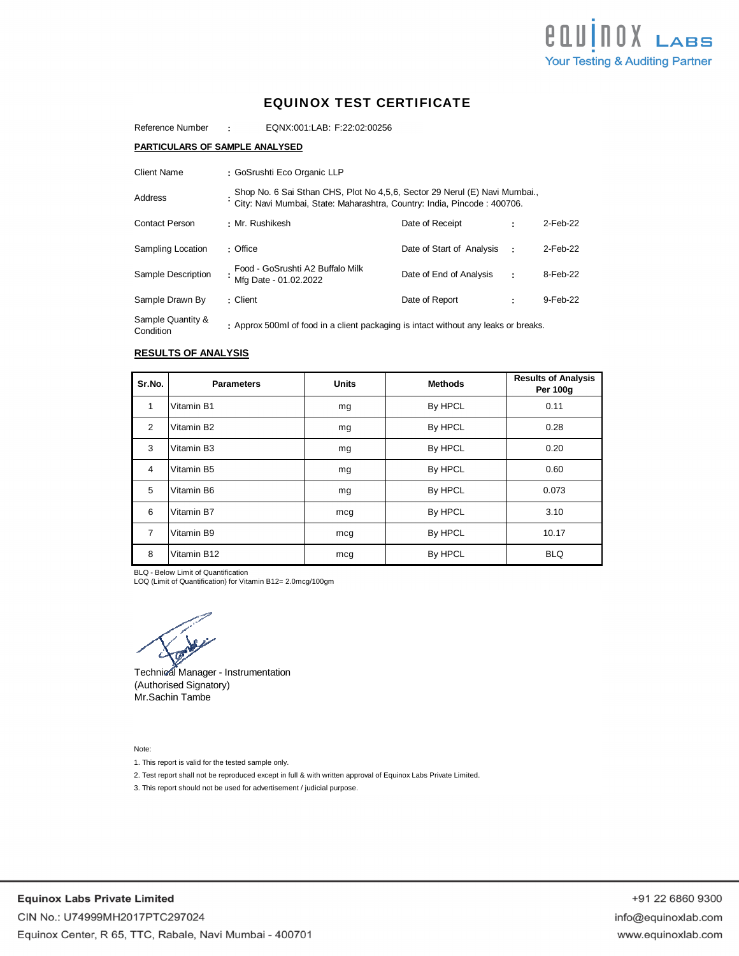

# EQUINOX TEST CERTIFICATE

**:** Reference Number EQNX:001:LAB: F:22:02:00256

### **PARTICULARS OF SAMPLE ANALYSED**

| Client Name                    | : GoSrushti Eco Organic LLP                                                                                                                           |                           |          |             |
|--------------------------------|-------------------------------------------------------------------------------------------------------------------------------------------------------|---------------------------|----------|-------------|
| Address                        | Shop No. 6 Sai Sthan CHS, Plot No 4,5,6, Sector 29 Nerul (E) Navi Mumbai.,<br>City: Navi Mumbai, State: Maharashtra, Country: India, Pincode: 400706. |                           |          |             |
| <b>Contact Person</b>          | : Mr. Rushikesh                                                                                                                                       | Date of Receipt           |          | 2-Feb-22    |
| Sampling Location              | : Office                                                                                                                                              | Date of Start of Analysis | $\sim$ 1 | $2$ -Feb-22 |
| Sample Description             | Food - GoSrushti A2 Buffalo Milk<br>Mfg Date - 01.02.2022                                                                                             | Date of End of Analysis   | ÷        | 8-Feb-22    |
| Sample Drawn By                | : Client                                                                                                                                              | Date of Report            | ٠        | 9-Feb-22    |
| Sample Quantity &<br>Condition | : Approx 500ml of food in a client packaging is intact without any leaks or breaks.                                                                   |                           |          |             |

# **RESULTS OF ANALYSIS**

| Sr.No.         | <b>Parameters</b> | <b>Units</b> | <b>Methods</b> | <b>Results of Analysis</b><br><b>Per 100g</b> |
|----------------|-------------------|--------------|----------------|-----------------------------------------------|
| 1              | Vitamin B1        | mg           | By HPCL        | 0.11                                          |
| 2              | Vitamin B2        | mg           | By HPCL        | 0.28                                          |
| 3              | Vitamin B3        | mg           | By HPCL        | 0.20                                          |
| $\overline{4}$ | Vitamin B5        | mg           | By HPCL        | 0.60                                          |
| 5              | Vitamin B6        | mg           | By HPCL        | 0.073                                         |
| 6              | Vitamin B7        | mcg          | By HPCL        | 3.10                                          |
| $\overline{7}$ | Vitamin B9        | mcg          | By HPCL        | 10.17                                         |
| 8              | Vitamin B12       | mcg          | By HPCL        | <b>BLQ</b>                                    |

BLQ - Below Limit of Quantification LOQ (Limit of Quantification) for Vitamin B12= 2.0mcg/100gm

Technical Manager - Instrumentation (Authorised Signatory) Mr.Sachin Tambe

Note:

1. This report is valid for the tested sample only.

2. Test report shall not be reproduced except in full & with written approval of Equinox Labs Private Limited.

3. This report should not be used for advertisement / judicial purpose.